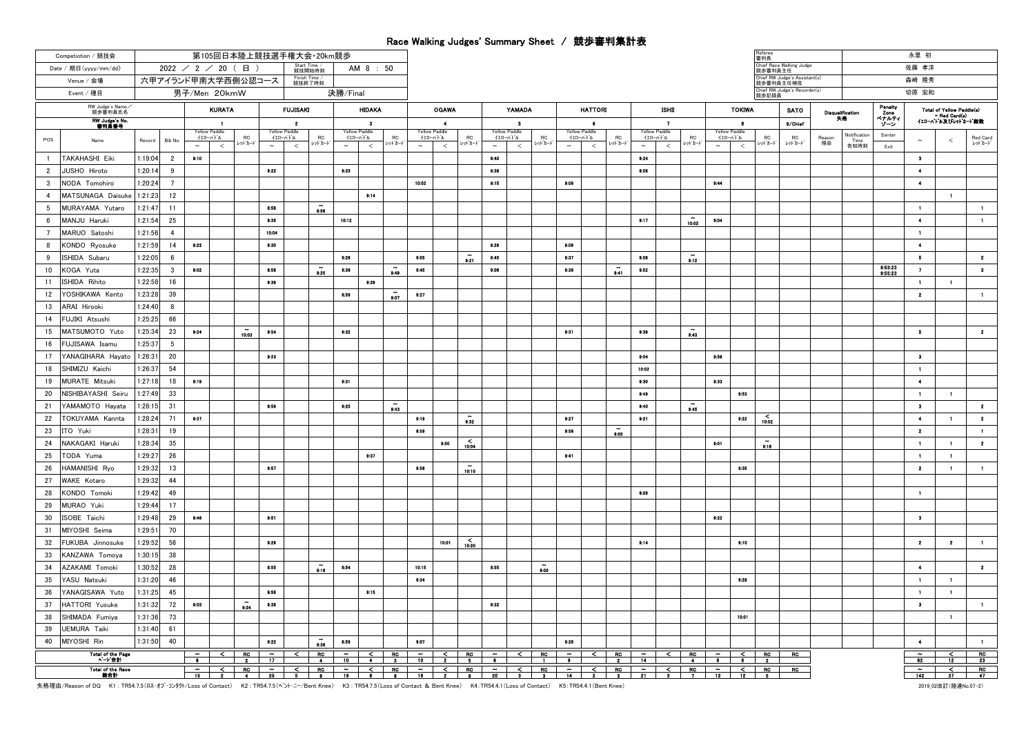## Race Walking Judges' Summary Sheet / 競歩審判集計表

| Competiotion / 競技会                                                  | 第105回日本陸上競技選手権大会·20km競歩 |                |                                                  |                               |                                |                                  |                                          |                          |                           |                             |                |                                             |                                   |                          |                                      |                      |                                                                                     |                          |       |                                                                                                                                                    |                    |              |                          |                                                                                                                                                            |                     | 審判長                                   |                                            |                          |                              |                                                                 | 永里 初                            |                         |                    |
|---------------------------------------------------------------------|-------------------------|----------------|--------------------------------------------------|-------------------------------|--------------------------------|----------------------------------|------------------------------------------|--------------------------|---------------------------|-----------------------------|----------------|---------------------------------------------|-----------------------------------|--------------------------|--------------------------------------|----------------------|-------------------------------------------------------------------------------------|--------------------------|-------|----------------------------------------------------------------------------------------------------------------------------------------------------|--------------------|--------------|--------------------------|------------------------------------------------------------------------------------------------------------------------------------------------------------|---------------------|---------------------------------------|--------------------------------------------|--------------------------|------------------------------|-----------------------------------------------------------------|---------------------------------|-------------------------|--------------------|
| Date / 期日(yyyy/mm/dd)                                               |                         |                |                                                  | $2022$ / 2 / 20 (日)           |                                |                                  |                                          | Start Time /<br>競技開始時刻   |                           | AM 8 : 50                   |                |                                             |                                   |                          |                                      |                      |                                                                                     |                          |       |                                                                                                                                                    |                    |              |                          |                                                                                                                                                            |                     | Chief Race Walking Judge<br>競歩審判員主任   |                                            |                          |                              | 佐藤 孝洋                                                           |                                 |                         |                    |
| 六甲アイランド甲南大学西側公認コース<br>Venue / 会場                                    |                         |                |                                                  |                               |                                |                                  |                                          | Finish Time /<br>競技終了時刻  |                           |                             |                |                                             |                                   |                          |                                      |                      |                                                                                     |                          |       |                                                                                                                                                    |                    |              |                          |                                                                                                                                                            |                     |                                       | Chief RW Judge's Assistant(s)<br>競歩審判員主任補佐 |                          |                              |                                                                 | 森崎 隆秀                           |                         |                    |
| 男子/Men 20kmW<br>Event / 種目                                          |                         |                |                                                  |                               |                                |                                  |                                          |                          | 決勝/Final                  |                             |                |                                             |                                   |                          |                                      |                      |                                                                                     |                          |       |                                                                                                                                                    |                    |              |                          |                                                                                                                                                            |                     | Chief RW Judge's Recorder(s)<br>競歩記録員 |                                            | 切原 宏和                    |                              |                                                                 |                                 |                         |                    |
| RW Judge's Name<br>競歩審判員氏名<br><b>KURATA</b><br><b>RW Judge's No</b> |                         |                |                                                  |                               |                                | <b>FUJISAKI</b><br><b>HIDAKA</b> |                                          |                          |                           | <b>OGAWA</b>                |                |                                             |                                   | <b>YAMADA</b>            |                                      | <b>HATTORI</b>       |                                                                                     |                          |       | <b>ISHD</b>                                                                                                                                        |                    |              | <b>TOKIWA</b>            |                                                                                                                                                            | <b>SATO</b>         |                                       | Disqualification<br>失格                     | Penalty<br>Zone<br>ベナルティ |                              | Total of Yellow Paddle(s)<br>+ Red Card(s)<br>イエローバトル及びレットカート競数 |                                 |                         |                    |
| 書判員番号                                                               |                         |                |                                                  | $\mathbf{1}$<br>Yellow Paddle |                                |                                  | $\overline{\mathbf{2}}$<br>Yellow Paddle |                          |                           | $^{\circ}$<br>Yellow Paddle |                |                                             | $\blacktriangle$<br>Yellow Paddle |                          |                                      | - 5<br>Yellow Paddle |                                                                                     | Yellow Paddle            | -6    |                                                                                                                                                    | Yellow Paddle      | $\mathbf{z}$ |                          |                                                                                                                                                            | -8<br>Yellow Paddle |                                       | 9/Chief                                    |                          |                              |                                                                 |                                 |                         |                    |
| POS<br>Name                                                         | Record                  | Bib No         | $\sim$                                           | イエローハトル<br>$\,<$              | RC<br>レットカート                   | $\sim$                           | イエローバトル<br>$\,<$                         | R <sub>C</sub><br>レッドカート | $\sim$                    | イエローバトル<br>$\,<$            | RC<br>レッドカード   | $\sim$                                      | イエローハトル<br>$\,<$                  | <b>RC</b><br>レッドカード      | イエローバトル<br>$\sim$                    | $\,<$                | <b>RC</b><br>レットカード                                                                 | イエローハトル<br>$\sim$        | $\,<$ | RC<br>レットカート                                                                                                                                       | イエローハトル<br>$\sim$  | $\,<$        | RC<br>ットカード              | イエローハードル<br>$\sim$                                                                                                                                         | $\,<$               | ${\sf RC}$<br>レットカード                  | RC<br>レットカート                               | Reason<br>理由             | Notification<br>Time<br>告知時刻 | Eenter<br>Exit                                                  | $\sim$                          | ≺                       | Red Card<br>レットカード |
| TAKAHASHI Eiki<br>$\overline{1}$                                    | 1:19:04                 | $\overline{2}$ | 9:10                                             |                               |                                |                                  |                                          |                          |                           |                             |                |                                             |                                   |                          | 0:40                                 |                      |                                                                                     |                          |       |                                                                                                                                                    | 9:24               |              |                          |                                                                                                                                                            |                     |                                       |                                            |                          |                              |                                                                 | $\bullet$                       |                         |                    |
| $\overline{2}$<br>JUSHO Hiroto                                      | 1:20:14                 | 9              |                                                  |                               |                                | 9:22                             |                                          |                          | 9:33                      |                             |                |                                             |                                   |                          | 9:38                                 |                      |                                                                                     |                          |       |                                                                                                                                                    | 9.08               |              |                          |                                                                                                                                                            |                     |                                       |                                            |                          |                              |                                                                 | $\overline{\phantom{a}}$        |                         |                    |
| $\mathbf{3}$<br>NODA Tomohiro                                       | 1:20:24                 | $\overline{7}$ |                                                  |                               |                                |                                  |                                          |                          |                           |                             |                | 10:02                                       |                                   |                          | 9:15                                 |                      |                                                                                     | 9:09                     |       |                                                                                                                                                    |                    |              |                          | 9.44                                                                                                                                                       |                     |                                       |                                            |                          |                              |                                                                 | $\overline{ }$                  |                         |                    |
| $\overline{4}$<br>MATSUNAGA Daisuke                                 | 1:21:23                 | 12             |                                                  |                               |                                |                                  |                                          |                          |                           | 9:14                        |                |                                             |                                   |                          |                                      |                      |                                                                                     |                          |       |                                                                                                                                                    |                    |              |                          |                                                                                                                                                            |                     |                                       |                                            |                          |                              |                                                                 |                                 | $\blacksquare$          |                    |
| 5<br>MURAYAMA Yutaro                                                | 1:21:47                 | 11             |                                                  |                               |                                | 8:58                             |                                          | 9:56                     |                           |                             |                |                                             |                                   |                          |                                      |                      |                                                                                     |                          |       |                                                                                                                                                    |                    |              |                          |                                                                                                                                                            |                     |                                       |                                            |                          |                              |                                                                 | $\blacksquare$                  |                         | $\blacksquare$     |
| 6<br>MANJU Haruki                                                   | 1:21:54                 | 25             |                                                  |                               |                                | 0:35                             |                                          |                          | 10:12                     |                             |                |                                             |                                   |                          |                                      |                      |                                                                                     |                          |       |                                                                                                                                                    | 9.17               |              | 10:02                    | 0:04                                                                                                                                                       |                     |                                       |                                            |                          |                              |                                                                 | $\overline{4}$                  |                         | $\mathbf{1}$       |
| $7\overline{ }$<br>MARUO Satoshi                                    | 1:21:56                 | $\overline{4}$ |                                                  |                               |                                | 10:04                            |                                          |                          |                           |                             |                |                                             |                                   |                          |                                      |                      |                                                                                     |                          |       |                                                                                                                                                    |                    |              |                          |                                                                                                                                                            |                     |                                       |                                            |                          |                              |                                                                 | $\mathbf{1}$                    |                         |                    |
| 8<br>KONDO Rvosuke                                                  | 1:21:59                 | 14             | 9:22                                             |                               |                                | 0:30                             |                                          |                          |                           |                             |                |                                             |                                   |                          | 0:20                                 |                      |                                                                                     | 9:00                     |       |                                                                                                                                                    |                    |              |                          |                                                                                                                                                            |                     |                                       |                                            |                          |                              |                                                                 | $\overline{\phantom{a}}$        |                         |                    |
| 9<br>ISHIDA Subaru                                                  | 1:22:05                 | 6              |                                                  |                               |                                |                                  |                                          |                          | 8:26                      |                             |                | 9:05                                        |                                   | 9.21                     | 0:45                                 |                      |                                                                                     | 9:37                     |       |                                                                                                                                                    | 9:00               |              | 9:12                     |                                                                                                                                                            |                     |                                       |                                            |                          |                              |                                                                 | $\bf 5$                         |                         | $\mathbf{2}$       |
| 10<br>KOGA Yuta                                                     | 1:22:35                 | 3              | 9:02                                             |                               |                                | 8:58                             |                                          | 9:25                     | 9:38                      |                             | 9:49           | 9:45                                        |                                   |                          | 0:08                                 |                      |                                                                                     | 9:36                     |       | 9:41                                                                                                                                               | 9.52               |              |                          |                                                                                                                                                            |                     |                                       |                                            |                          |                              | 9:53:23<br>9:55:23                                              | $\mathbf{z}$                    |                         | $\bullet$          |
| 11<br>ISHIDA Rihito                                                 | 1:22:58                 | 16             |                                                  |                               |                                | 9:39                             |                                          |                          |                           | 9:39                        |                |                                             |                                   |                          |                                      |                      |                                                                                     |                          |       |                                                                                                                                                    |                    |              |                          |                                                                                                                                                            |                     |                                       |                                            |                          |                              |                                                                 | $\blacksquare$                  | $\blacksquare$          |                    |
| 12<br>YOSHIKAWA Kento                                               | 1:23:28                 | 39             |                                                  |                               |                                |                                  |                                          |                          | 8:59                      |                             | 9:07           | 9.27                                        |                                   |                          |                                      |                      |                                                                                     |                          |       |                                                                                                                                                    |                    |              |                          |                                                                                                                                                            |                     |                                       |                                            |                          |                              |                                                                 | $\mathbf{z}$                    |                         | $\blacksquare$     |
| 13<br>ARAI Hirooki                                                  | 1:24:40                 | -8             |                                                  |                               |                                |                                  |                                          |                          |                           |                             |                |                                             |                                   |                          |                                      |                      |                                                                                     |                          |       |                                                                                                                                                    |                    |              |                          |                                                                                                                                                            |                     |                                       |                                            |                          |                              |                                                                 |                                 |                         |                    |
| 14<br>FUJIKI Atsushi                                                | 1:25:25                 | 66             |                                                  |                               |                                |                                  |                                          |                          |                           |                             |                |                                             |                                   |                          |                                      |                      |                                                                                     |                          |       |                                                                                                                                                    |                    |              |                          |                                                                                                                                                            |                     |                                       |                                            |                          |                              |                                                                 |                                 |                         |                    |
| 15<br>MATSUMOTO Yuto                                                | 1:25:34                 | 23             | 9.24                                             |                               | 10.03                          | 9:54                             |                                          |                          | 9:32                      |                             |                |                                             |                                   |                          |                                      |                      |                                                                                     | 9:31                     |       |                                                                                                                                                    | 9:39               |              | 543                      |                                                                                                                                                            |                     |                                       |                                            |                          |                              |                                                                 | $\overline{5}$                  |                         | $\mathbf{2}$       |
| 16<br>FUJISAWA Isamu                                                | 1:25:37                 | 5              |                                                  |                               |                                |                                  |                                          |                          |                           |                             |                |                                             |                                   |                          |                                      |                      |                                                                                     |                          |       |                                                                                                                                                    |                    |              |                          |                                                                                                                                                            |                     |                                       |                                            |                          |                              |                                                                 |                                 |                         |                    |
| 17<br>YANAGIHARA Hayato<br>18<br>SHIMIZU Kaichi                     | 1:26:31                 | 20<br>54       |                                                  |                               |                                | 0:23                             |                                          |                          |                           |                             |                |                                             |                                   |                          |                                      |                      |                                                                                     |                          |       |                                                                                                                                                    | 9:54<br>10:02      |              |                          | 9:58                                                                                                                                                       |                     |                                       |                                            |                          |                              |                                                                 | $\bullet$<br>$\mathbf{1}$       |                         |                    |
| 19<br>MURATE Mitsuki                                                | 1:26:37<br>1:27:18      | 18             | 9:19                                             |                               |                                |                                  |                                          |                          | 9:31                      |                             |                |                                             |                                   |                          |                                      |                      |                                                                                     |                          |       |                                                                                                                                                    | 9:30               |              |                          | 9:33                                                                                                                                                       |                     |                                       |                                            |                          |                              |                                                                 | $\ddot{\bullet}$                |                         |                    |
| 20<br>NISHIBAYASHI Seiru                                            | 1:27:49                 | 33             |                                                  |                               |                                |                                  |                                          |                          |                           |                             |                |                                             |                                   |                          |                                      |                      |                                                                                     |                          |       |                                                                                                                                                    | 9.49               |              |                          |                                                                                                                                                            | 9:53                |                                       |                                            |                          |                              |                                                                 | $\blacksquare$                  | $\blacksquare$          |                    |
| 21<br>YAMAMOTO Hayata                                               | 1:28:15                 | 31             |                                                  |                               |                                | 8:59                             |                                          |                          | 9:25                      |                             |                |                                             |                                   |                          |                                      |                      |                                                                                     |                          |       |                                                                                                                                                    | 9.40               |              | $\widetilde{\bullet}$ 45 |                                                                                                                                                            |                     |                                       |                                            |                          |                              |                                                                 | $\bullet$                       |                         | $\overline{2}$     |
| 22<br>TOKUYAMA Kannta                                               | 1:28:24                 | 71             | 9:37                                             |                               |                                |                                  |                                          |                          |                           |                             | 9:43           | 9:19                                        |                                   | $8-32$                   |                                      |                      |                                                                                     | 9:27                     |       |                                                                                                                                                    | 9.21               |              |                          |                                                                                                                                                            | 9.22                | $\delta$                              |                                            |                          |                              |                                                                 | $\blacktriangleleft$            | $\blacksquare$          | $\overline{2}$     |
| 23<br>TO Yuki                                                       | 1:28:31                 | 19             |                                                  |                               |                                |                                  |                                          |                          |                           |                             |                | 8.59                                        |                                   |                          |                                      |                      |                                                                                     | 8:58                     |       | 8:06                                                                                                                                               |                    |              |                          |                                                                                                                                                            |                     |                                       |                                            |                          |                              |                                                                 | $\mathbf{2}$                    |                         | $\blacksquare$     |
| 24<br>NAKAGAKI Haruki                                               | 1:28:34                 | 35             |                                                  |                               |                                |                                  |                                          |                          |                           |                             |                |                                             | 9.50                              | $\underset{10:04}{\leq}$ |                                      |                      |                                                                                     |                          |       |                                                                                                                                                    |                    |              |                          | 0:01                                                                                                                                                       |                     | $\sim$<br>9:16                        |                                            |                          |                              |                                                                 | $\blacksquare$                  | $\blacksquare$          | $\mathbf{2}$       |
| 25<br>TODA Yuma                                                     | 1:29:27                 | 26             |                                                  |                               |                                |                                  |                                          |                          |                           | 9:37                        |                |                                             |                                   |                          |                                      |                      |                                                                                     | 9:41                     |       |                                                                                                                                                    |                    |              |                          |                                                                                                                                                            |                     |                                       |                                            |                          |                              |                                                                 | $\mathbf{1}$                    | $\blacksquare$          |                    |
| 26<br>HAMANISHI Ryo                                                 | 1:29:32                 | 13             |                                                  |                               |                                | 0:57                             |                                          |                          |                           |                             |                | 9:56                                        |                                   | 10:10                    |                                      |                      |                                                                                     |                          |       |                                                                                                                                                    |                    |              |                          |                                                                                                                                                            | 9:35                |                                       |                                            |                          |                              |                                                                 | $\mathbf{z}$                    | $\blacksquare$          | $\blacksquare$     |
| 27<br>WAKE Kotaro                                                   | 1:29:32                 | 44             |                                                  |                               |                                |                                  |                                          |                          |                           |                             |                |                                             |                                   |                          |                                      |                      |                                                                                     |                          |       |                                                                                                                                                    |                    |              |                          |                                                                                                                                                            |                     |                                       |                                            |                          |                              |                                                                 |                                 |                         |                    |
| 28<br>KONDO Tomoki                                                  | 1:29:42                 | 49             |                                                  |                               |                                |                                  |                                          |                          |                           |                             |                |                                             |                                   |                          |                                      |                      |                                                                                     |                          |       |                                                                                                                                                    | 9:00               |              |                          |                                                                                                                                                            |                     |                                       |                                            |                          |                              |                                                                 | $\mathbf{1}$                    |                         |                    |
| 29<br>MURAO Yuki                                                    | 1:29:44                 | 17             |                                                  |                               |                                |                                  |                                          |                          |                           |                             |                |                                             |                                   |                          |                                      |                      |                                                                                     |                          |       |                                                                                                                                                    |                    |              |                          |                                                                                                                                                            |                     |                                       |                                            |                          |                              |                                                                 |                                 |                         |                    |
| 30<br>ISOBE Taichi                                                  | 1:29:48                 | 29             | 9.46                                             |                               |                                | 9:51                             |                                          |                          |                           |                             |                |                                             |                                   |                          |                                      |                      |                                                                                     |                          |       |                                                                                                                                                    |                    |              |                          | 0:22                                                                                                                                                       |                     |                                       |                                            |                          |                              |                                                                 | $\bullet$                       |                         |                    |
| 31<br>MIYOSHI Seima                                                 | 1:29:51                 | 70             |                                                  |                               |                                |                                  |                                          |                          |                           |                             |                |                                             |                                   |                          |                                      |                      |                                                                                     |                          |       |                                                                                                                                                    |                    |              |                          |                                                                                                                                                            |                     |                                       |                                            |                          |                              |                                                                 |                                 |                         |                    |
| 32<br>FUKUBA Jinnosuke                                              | 1:29:52                 | 56             |                                                  |                               |                                | 9:29                             |                                          |                          |                           |                             |                |                                             | 10:01                             | $\leq 10:20$             |                                      |                      |                                                                                     |                          |       |                                                                                                                                                    | 9.14               |              |                          |                                                                                                                                                            | 9:10                |                                       |                                            |                          |                              |                                                                 | $\mathbf{2}$                    | $\overline{\mathbf{2}}$ | $\blacksquare$     |
| 33<br>KANZAWA Tomoya                                                | 1:30:15                 | 38             |                                                  |                               |                                |                                  |                                          |                          |                           |                             |                |                                             |                                   |                          |                                      |                      |                                                                                     |                          |       |                                                                                                                                                    |                    |              |                          |                                                                                                                                                            |                     |                                       |                                            |                          |                              |                                                                 |                                 |                         |                    |
| 34<br>AZAKAMI Tomoki                                                | 1:30:52                 | 28             |                                                  |                               |                                | 8:55                             |                                          | 9:16                     | 8:54                      |                             |                | 10.15                                       |                                   |                          | 8:55                                 |                      | 0:00                                                                                |                          |       |                                                                                                                                                    |                    |              |                          |                                                                                                                                                            |                     |                                       |                                            |                          |                              |                                                                 | $\overline{4}$                  |                         | $\overline{2}$     |
| 35<br>YASU Natsuki                                                  | 1:31:20                 | 46             |                                                  |                               |                                |                                  |                                          |                          |                           |                             |                | 9.34                                        |                                   |                          |                                      |                      |                                                                                     |                          |       |                                                                                                                                                    |                    |              |                          |                                                                                                                                                            | 9:28                |                                       |                                            |                          |                              |                                                                 | $\blacksquare$                  | $\blacksquare$          |                    |
| 36<br>YANAGISAWA Yuto                                               | 1:31:25                 | 45             |                                                  |                               |                                | 0:58                             |                                          |                          |                           | 9:15                        |                |                                             |                                   |                          |                                      |                      |                                                                                     |                          |       |                                                                                                                                                    |                    |              |                          |                                                                                                                                                            |                     |                                       |                                            |                          |                              |                                                                 | $\blacksquare$                  | $\blacksquare$          |                    |
| 37<br>HATTORI Yusuke                                                | 1:31:32                 | 72             | 0:00                                             |                               | 9.24                           | 9:38                             |                                          |                          |                           |                             |                |                                             |                                   |                          | 0:32                                 |                      |                                                                                     |                          |       |                                                                                                                                                    |                    |              |                          |                                                                                                                                                            |                     |                                       |                                            |                          |                              |                                                                 | $\bullet$                       |                         | $\blacksquare$     |
| 38<br>SHIMADA Fumiya                                                | 1:31:36                 | 73             |                                                  |                               |                                |                                  |                                          |                          |                           |                             |                |                                             |                                   |                          |                                      |                      |                                                                                     |                          |       |                                                                                                                                                    |                    |              |                          |                                                                                                                                                            | 10:01               |                                       |                                            |                          |                              |                                                                 |                                 | $\blacksquare$          |                    |
| 39<br><b>JEMURA Taiki</b>                                           | 1:31:40                 | 61             |                                                  |                               |                                |                                  |                                          |                          |                           |                             |                |                                             |                                   |                          |                                      |                      |                                                                                     |                          |       |                                                                                                                                                    |                    |              |                          |                                                                                                                                                            |                     |                                       |                                            |                          |                              |                                                                 |                                 |                         |                    |
| 40<br>MIYOSHI Rin                                                   | 1:31:50                 | 40             |                                                  |                               |                                | 8:22                             |                                          | 9:36                     | 8:59                      |                             |                | 9:07                                        |                                   |                          |                                      |                      |                                                                                     | 8:26                     |       |                                                                                                                                                    |                    |              |                          |                                                                                                                                                            |                     |                                       |                                            |                          |                              |                                                                 | $\overline{\phantom{a}}$        |                         | $\blacksquare$     |
| Total of the Page<br>ページ合計                                          |                         |                | <b>Contract Contract</b><br>$\overline{\bullet}$ |                               | $\frac{1}{2}$ RC $\frac{1}{2}$ | $\frac{1}{17}$                   | $\overline{\mathbf{z}}$                  | $\frac{R}{4}$            | $\sim$<br>$\overline{10}$ | $\frac{\leq}{4}$ RO<br>3    |                | $\overline{\phantom{a}}$<br>$\overline{10}$ | $\frac{1}{2}$                     | $rac{RO}{5}$             | $\sim$ 1<br>$\overline{\phantom{a}}$ | $\leq$ $\Box$        | $\begin{array}{c c}\n\hline\n\text{RO} & \sim \\ \hline\n1 & \text{O}\n\end{array}$ |                          |       | $\begin{array}{ c c c c c }\n\hline\n\text{R0} & \text{n} \\ \hline\n\text{R1} & \text{n} \\ \hline\n\text{R2} & \text{R3} \\ \hline\n\end{array}$ |                    | $\sim$       |                          | $\begin{array}{ c c c c c }\n\hline\n\text{R0} & \sim & \text{<} & \text{R0} \\ \hline\n\text{4} & \text{6} & \text{6} & \text{2} & \text{2}\n\end{array}$ |                     |                                       | RO                                         |                          |                              |                                                                 | $\tilde{\phantom{a}}$<br>82     | $\frac{2}{12}$          | RC<br>23           |
| <b>Total of the Race</b><br><u> 義合計</u>                             |                         |                |                                                  |                               | $\leq$ $\perp$<br>$_{\rm RC}$  | ł                                |                                          | $_{\rm RC}$              | $\overline{\phantom{a}}$  |                             | R <sub>C</sub> | $\overline{\cdot}$                          | $\leq$                            | RC.                      | $\cdot$                              | ≺                    | $R_{\rm C}$                                                                         | $\overline{\phantom{a}}$ | ≺∣    | RO                                                                                                                                                 | $\overline{\cdot}$ | $\leq$       | $\frac{1}{2}$            | $\sim$                                                                                                                                                     | $\sim$ 1            | $_{\rm RC}$                           | $_{\rm RC}$                                |                          |                              |                                                                 | $\overline{\phantom{a}}$<br>142 | <                       | R <sup>o</sup>     |
|                                                                     |                         |                |                                                  |                               |                                |                                  |                                          |                          |                           |                             |                |                                             |                                   |                          |                                      |                      |                                                                                     |                          |       |                                                                                                                                                    |                    |              |                          |                                                                                                                                                            |                     |                                       |                                            |                          |                              |                                                                 |                                 |                         |                    |

失格理由/Reason of DQ K1 : TR54.7.5(ロス・オブ・コンタケ/Loss of Contact) K2 : TR54.7.5(ヘント・ニー/Bent Knee) K3 : TR54.7.5(Loss of Contact & Bent Knee) K4:TR54.4.1(Loss of Contact) K5:TR54.4.1(Bent Knee)

2019\_02改訂(陸連No.07-2)